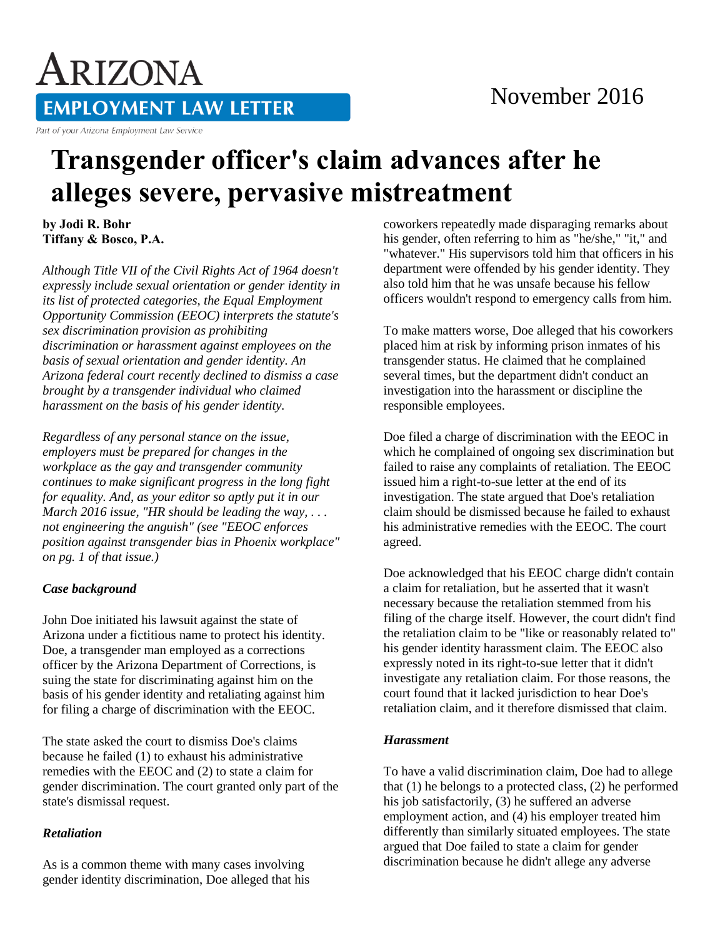# ARIZONA **EMPLOYMENT LAW LETTER**

Part of your Arizona Employment Law Service

# **Transgender officer's claim advances after he alleges severe, pervasive mistreatment**

**by Jodi R. Bohr Tiffany & Bosco, P.A.** 

*Although Title VII of the Civil Rights Act of 1964 doesn't expressly include sexual orientation or gender identity in its list of protected categories, the Equal Employment Opportunity Commission (EEOC) interprets the statute's sex discrimination provision as prohibiting discrimination or harassment against employees on the basis of sexual orientation and gender identity. An Arizona federal court recently declined to dismiss a case brought by a transgender individual who claimed harassment on the basis of his gender identity.*

*Regardless of any personal stance on the issue, employers must be prepared for changes in the workplace as the gay and transgender community continues to make significant progress in the long fight for equality. And, as your editor so aptly put it in our March 2016 issue, "HR should be leading the way, . . . not engineering the anguish" (see "EEOC enforces position against transgender bias in Phoenix workplace" on pg. 1 of that issue.)*

## *Case background*

John Doe initiated his lawsuit against the state of Arizona under a fictitious name to protect his identity. Doe, a transgender man employed as a corrections officer by the Arizona Department of Corrections, is suing the state for discriminating against him on the basis of his gender identity and retaliating against him for filing a charge of discrimination with the EEOC.

The state asked the court to dismiss Doe's claims because he failed (1) to exhaust his administrative remedies with the EEOC and (2) to state a claim for gender discrimination. The court granted only part of the state's dismissal request.

### *Retaliation*

As is a common theme with many cases involving gender identity discrimination, Doe alleged that his coworkers repeatedly made disparaging remarks about his gender, often referring to him as "he/she," "it," and "whatever." His supervisors told him that officers in his department were offended by his gender identity. They also told him that he was unsafe because his fellow officers wouldn't respond to emergency calls from him.

To make matters worse, Doe alleged that his coworkers placed him at risk by informing prison inmates of his transgender status. He claimed that he complained several times, but the department didn't conduct an investigation into the harassment or discipline the responsible employees.

Doe filed a charge of discrimination with the EEOC in which he complained of ongoing sex discrimination but failed to raise any complaints of retaliation. The EEOC issued him a right-to-sue letter at the end of its investigation. The state argued that Doe's retaliation claim should be dismissed because he failed to exhaust his administrative remedies with the EEOC. The court agreed.

Doe acknowledged that his EEOC charge didn't contain a claim for retaliation, but he asserted that it wasn't necessary because the retaliation stemmed from his filing of the charge itself. However, the court didn't find the retaliation claim to be "like or reasonably related to" his gender identity harassment claim. The EEOC also expressly noted in its right-to-sue letter that it didn't investigate any retaliation claim. For those reasons, the court found that it lacked jurisdiction to hear Doe's retaliation claim, and it therefore dismissed that claim.

#### *Harassment*

To have a valid discrimination claim, Doe had to allege that (1) he belongs to a protected class, (2) he performed his job satisfactorily, (3) he suffered an adverse employment action, and (4) his employer treated him differently than similarly situated employees. The state argued that Doe failed to state a claim for gender discrimination because he didn't allege any adverse